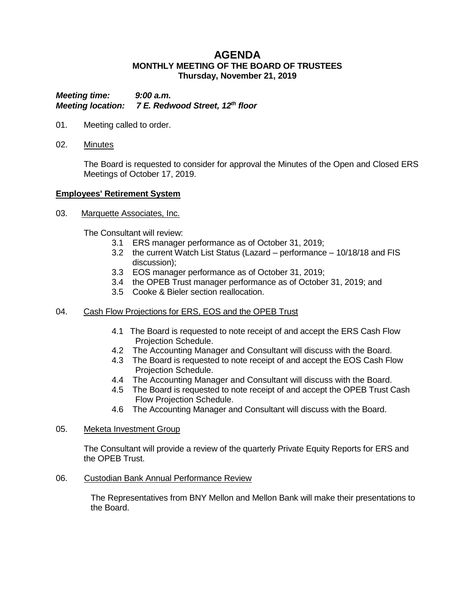# **AGENDA MONTHLY MEETING OF THE BOARD OF TRUSTEES Thursday, November 21, 2019**

*Meeting time: 9:00 a.m. Meeting location: 7 E. Redwood Street, 12th floor*

- 01. Meeting called to order.
- 02. Minutes

The Board is requested to consider for approval the Minutes of the Open and Closed ERS Meetings of October 17, 2019.

### **Employees' Retirement System**

03. Marquette Associates, Inc.

The Consultant will review:

- 3.1 ERS manager performance as of October 31, 2019;
- 3.2 the current Watch List Status (Lazard performance 10/18/18 and FIS discussion);
- 3.3 EOS manager performance as of October 31, 2019;
- 3.4 the OPEB Trust manager performance as of October 31, 2019; and
- 3.5 Cooke & Bieler section reallocation.

#### 04. Cash Flow Projections for ERS, EOS and the OPEB Trust

- 4.1 The Board is requested to note receipt of and accept the ERS Cash Flow Projection Schedule.
- 4.2 The Accounting Manager and Consultant will discuss with the Board.
- 4.3 The Board is requested to note receipt of and accept the EOS Cash Flow Projection Schedule.
- 4.4 The Accounting Manager and Consultant will discuss with the Board.
- 4.5 The Board is requested to note receipt of and accept the OPEB Trust Cash Flow Projection Schedule.
- 4.6 The Accounting Manager and Consultant will discuss with the Board.
- 05. Meketa Investment Group

The Consultant will provide a review of the quarterly Private Equity Reports for ERS and the OPEB Trust.

06. Custodian Bank Annual Performance Review

The Representatives from BNY Mellon and Mellon Bank will make their presentations to the Board.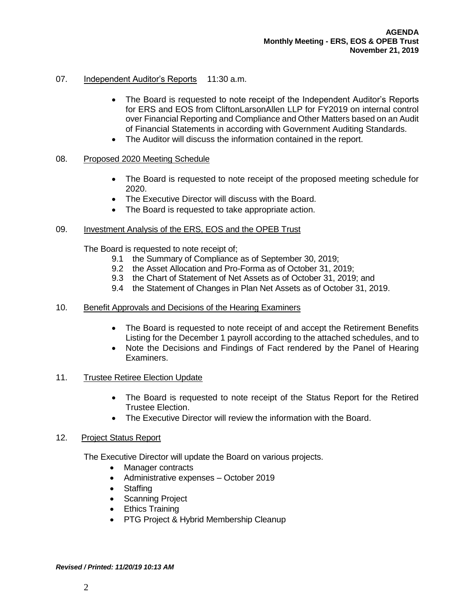# 07. Independent Auditor's Reports 11:30 a.m.

- The Board is requested to note receipt of the Independent Auditor's Reports for ERS and EOS from CliftonLarsonAllen LLP for FY2019 on internal control over Financial Reporting and Compliance and Other Matters based on an Audit of Financial Statements in according with Government Auditing Standards.
- The Auditor will discuss the information contained in the report.

### 08. Proposed 2020 Meeting Schedule

- The Board is requested to note receipt of the proposed meeting schedule for 2020.
- The Executive Director will discuss with the Board.
- The Board is requested to take appropriate action.

#### 09. Investment Analysis of the ERS, EOS and the OPEB Trust

The Board is requested to note receipt of;

- 9.1 the Summary of Compliance as of September 30, 2019;
- 9.2 the Asset Allocation and Pro-Forma as of October 31, 2019;
- 9.3 the Chart of Statement of Net Assets as of October 31, 2019; and
- 9.4 the Statement of Changes in Plan Net Assets as of October 31, 2019.

#### 10. Benefit Approvals and Decisions of the Hearing Examiners

- The Board is requested to note receipt of and accept the Retirement Benefits Listing for the December 1 payroll according to the attached schedules, and to
- Note the Decisions and Findings of Fact rendered by the Panel of Hearing Examiners.

#### 11. Trustee Retiree Election Update

- The Board is requested to note receipt of the Status Report for the Retired Trustee Election.
- The Executive Director will review the information with the Board.

#### 12. Project Status Report

The Executive Director will update the Board on various projects.

- Manager contracts
- Administrative expenses October 2019
- Staffing
- Scanning Project
- Ethics Training
- PTG Project & Hybrid Membership Cleanup